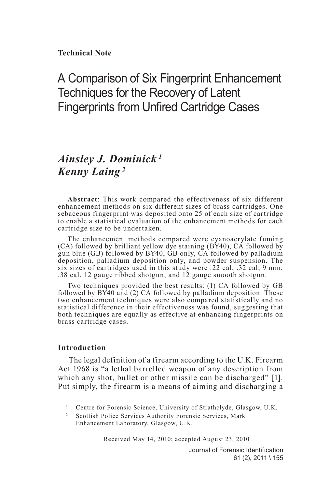**Technical Note**

# A Comparison of Six Fingerprint Enhancement Techniques for the Recovery of Latent Fingerprints from Unfired Cartridge Cases

# *Ainsley J. Dominick <sup>1</sup> Kenny Laing <sup>2</sup>*

**Abstract**: This work compared the effectiveness of six different enhancement methods on six different sizes of brass cartridges. One sebaceous fingerprint was deposited onto 25 of each size of cartridge to enable a statistical evaluation of the enhancement methods for each cartridge size to be undertaken.

The enhancement methods compared were cyanoacrylate fuming (CA) followed by brilliant yellow dye staining (BY40), CA followed by gun blue (GB) followed by BY40, GB only, CA followed by palladium deposition, palladium deposition only, and powder suspension. The six sizes of cartridges used in this study were .22 cal, .32 cal, 9 mm, .38 cal, 12 gauge ribbed shotgun, and 12 gauge smooth shotgun.

Two techniques provided the best results: (1) CA followed by GB followed by BY40 and (2) CA followed by palladium deposition. These two enhancement techniques were also compared statistically and no statistical difference in their effectiveness was found, suggesting that both techniques are equally as effective at enhancing fingerprints on brass cartridge cases.

### **Introduction**

The legal definition of a firearm according to the U.K. Firearm Act 1968 is "a lethal barrelled weapon of any description from which any shot, bullet or other missile can be discharged" [1]. Put simply, the firearm is a means of aiming and discharging a

<sup>2</sup> Scottish Police Services Authority Forensic Services, Mark Enhancement Laboratory, Glasgow, U.K.

Received May 14, 2010; accepted August 23, 2010

Journal of Forensic Identification 61 (2), 2011 \ 155

<sup>&</sup>lt;sup>1</sup> Centre for Forensic Science, University of Strathclyde, Glasgow, U.K.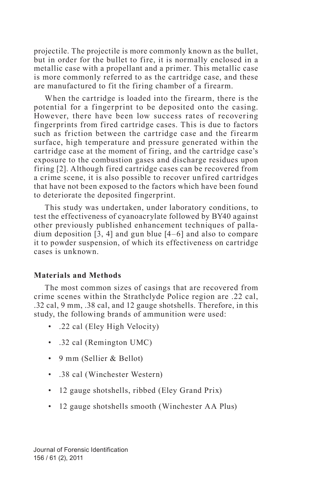projectile. The projectile is more commonly known as the bullet, but in order for the bullet to fire, it is normally enclosed in a metallic case with a propellant and a primer. This metallic case is more commonly referred to as the cartridge case, and these are manufactured to fit the firing chamber of a firearm.

When the cartridge is loaded into the firearm, there is the potential for a fingerprint to be deposited onto the casing. However, there have been low success rates of recovering fingerprints from fired cartridge cases. This is due to factors such as friction between the cartridge case and the firearm surface, high temperature and pressure generated within the cartridge case at the moment of firing, and the cartridge case's exposure to the combustion gases and discharge residues upon firing [2]. Although fired cartridge cases can be recovered from a crime scene, it is also possible to recover unfired cartridges that have not been exposed to the factors which have been found to deteriorate the deposited fingerprint.

This study was undertaken, under laboratory conditions, to test the effectiveness of cyanoacrylate followed by BY40 against other previously published enhancement techniques of palladium deposition [3, 4] and gun blue [4–6] and also to compare it to powder suspension, of which its effectiveness on cartridge cases is unknown.

#### **Materials and Methods**

The most common sizes of casings that are recovered from crime scenes within the Strathclyde Police region are .22 cal, .32 cal, 9 mm, .38 cal, and 12 gauge shotshells. Therefore, in this study, the following brands of ammunition were used:

- .22 cal (Eley High Velocity)
- .32 cal (Remington UMC)
- 9 mm (Sellier & Bellot)
- .38 cal (Winchester Western)
- 12 gauge shotshells, ribbed (Eley Grand Prix)
- 12 gauge shotshells smooth (Winchester AA Plus)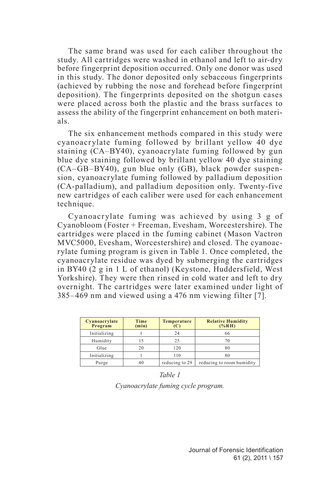The same brand was used for each caliber throughout the study. All cartridges were washed in ethanol and left to air-dry before fingerprint deposition occurred. Only one donor was used in this study. The donor deposited only sebaceous fingerprints (achieved by rubbing the nose and forehead before fingerprint deposition). The fingerprints deposited on the shotgun cases were placed across both the plastic and the brass surfaces to assess the ability of the fingerprint enhancement on both materials.

The six enhancement methods compared in this study were cyanoacrylate fuming followed by brillant yellow 40 dye staining (CA–BY40), cyanoacrylate fuming followed by gun blue dye staining followed by brillant yellow 40 dye staining (CA–GB–BY40), gun blue only (GB), black powder suspension, cyanoacrylate fuming followed by palladium deposition (CA-palladium), and palladium deposition only. Twenty-five new cartridges of each caliber were used for each enhancement technique.

Cyanoacr ylate fuming was achieved by using 3 g of Cyanobloom (Foster + Freeman, Evesham, Worcestershire). The cartridges were placed in the fuming cabinet (Mason Vactron MVC5000, Evesham, Worcestershire) and closed. The cyanoacrylate fuming program is given in Table 1. Once completed, the cyanoacrylate residue was dyed by submerging the cartridges in BY40 (2 g in 1 L of ethanol) (Keystone, Huddersfield, West Yorkshire). They were then rinsed in cold water and left to dry overnight. The cartridges were later examined under light of 385–469 nm and viewed using a 476 nm viewing filter [7].

| Cyanoacrylate<br>Program | Time<br>(min) | Temperature<br>(C) | <b>Relative Humidity</b><br>$(\%RH)$ |
|--------------------------|---------------|--------------------|--------------------------------------|
| Initializing             |               | 24                 | 66                                   |
| Humidity                 |               | 25                 | 70                                   |
| Glue                     | 20            | 120                | 80                                   |
| Initializing             |               | 110                | 80                                   |
| Purge                    |               | reducing to 29     | reducing to room humidity            |

*Table 1 Cyanoacrylate fuming cycle program.*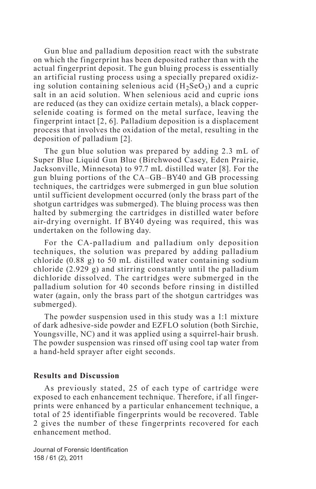Gun blue and palladium deposition react with the substrate on which the fingerprint has been deposited rather than with the actual fingerprint deposit. The gun bluing process is essentially an artificial rusting process using a specially prepared oxidizing solution containing selenious acid  $(H<sub>2</sub>SeO<sub>3</sub>)$  and a cupric salt in an acid solution. When selenious acid and cupric ions are reduced (as they can oxidize certain metals), a black copperselenide coating is formed on the metal surface, leaving the fingerprint intact [2, 6]. Palladium deposition is a displacement process that involves the oxidation of the metal, resulting in the deposition of palladium [2].

The gun blue solution was prepared by adding 2.3 mL of Super Blue Liquid Gun Blue (Birchwood Casey, Eden Prairie, Jacksonville, Minnesota) to 97.7 mL distilled water [8]. For the gun bluing portions of the CA–GB–BY40 and GB processing techniques, the cartridges were submerged in gun blue solution until sufficient development occurred (only the brass part of the shotgun cartridges was submerged). The bluing process was then halted by submerging the cartridges in distilled water before air-drying overnight. If BY40 dyeing was required, this was undertaken on the following day.

For the CA-palladium and palladium only deposition techniques, the solution was prepared by adding palladium chloride (0.88 g) to 50 mL distilled water containing sodium chloride (2.929 g) and stirring constantly until the palladium dichloride dissolved. The cartridges were submerged in the palladium solution for 40 seconds before rinsing in distilled water (again, only the brass part of the shotgun cartridges was submerged).

The powder suspension used in this study was a 1:1 mixture of dark adhesive-side powder and EZFLO solution (both Sirchie, Youngsville, NC) and it was applied using a squirrel-hair brush. The powder suspension was rinsed off using cool tap water from a hand-held sprayer after eight seconds.

#### **Results and Discussion**

As previously stated, 25 of each type of cartridge were exposed to each enhancement technique. Therefore, if all fingerprints were enhanced by a particular enhancement technique, a total of 25 identifiable fingerprints would be recovered. Table 2 gives the number of these fingerprints recovered for each enhancement method.

Journal of Forensic Identification 158 / 61 (2), 2011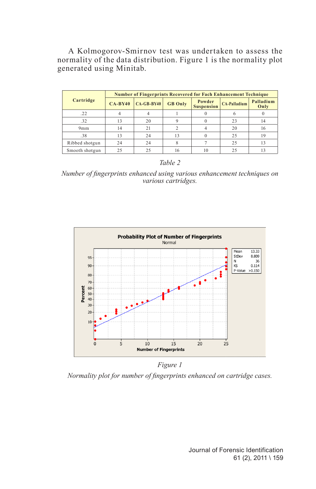A Kolmogorov-Smirnov test was undertaken to assess the normality of the data distribution. Figure 1 is the normality plot generated using Minitab.

|                | <b>Number of Fingerprints Recovered for Fach Enhancement Technique</b> |              |                |                             |                     |                   |  |
|----------------|------------------------------------------------------------------------|--------------|----------------|-----------------------------|---------------------|-------------------|--|
| Cartridge      | $CA-BY40$                                                              | $CA-GB-BY40$ | <b>GB</b> Only | Powder<br><b>Suspension</b> | <b>CA-Palladium</b> | Palladium<br>Only |  |
| .22            |                                                                        |              |                |                             |                     |                   |  |
| .32            | 13                                                                     | 20           |                |                             | 23                  | 14                |  |
| 9mm            | 14                                                                     | 21           |                |                             | 20                  | 16                |  |
| .38            | 13                                                                     | 24           | 13             |                             | 25                  | 19                |  |
| Ribbed shotgun | 24                                                                     | 24           |                |                             | 25                  | 13                |  |
| Smooth shotgun | 25                                                                     | 25           | 16             | 10                          | 25                  | 13                |  |

*Table 2*

*Number of fingerprints enhanced using various enhancement techniques on various cartridges.*



*Figure 1*

*Normality plot for number of fingerprints enhanced on cartridge cases.*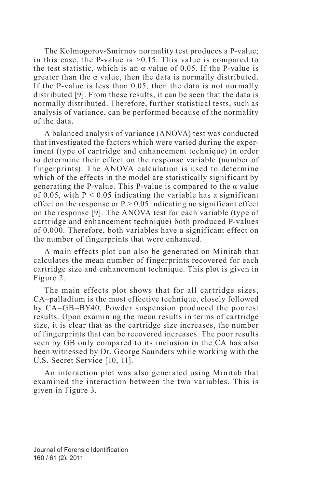The Kolmogorov-Smirnov normality test produces a P-value; in this case, the P-value is  $>0.15$ . This value is compared to the test statistic, which is an  $\alpha$  value of 0.05. If the P-value is greater than the  $\alpha$  value, then the data is normally distributed. If the P-value is less than 0.05, then the data is not normally distributed [9]. From these results, it can be seen that the data is normally distributed. Therefore, further statistical tests, such as analysis of variance, can be performed because of the normality of the data.

A balanced analysis of variance (ANOVA) test was conducted that investigated the factors which were varied during the experiment (type of cartridge and enhancement technique) in order to determine their effect on the response variable (number of fingerprints). The ANOVA calculation is used to determine which of the effects in the model are statistically significant by generating the P-value. This P-value is compared to the  $\alpha$  value of 0.05, with  $P < 0.05$  indicating the variable has a significant effect on the response or  $P > 0.05$  indicating no significant effect on the response [9]. The ANOVA test for each variable (type of cartridge and enhancement technique) both produced P-values of 0.000. Therefore, both variables have a significant effect on the number of fingerprints that were enhanced.

A main effects plot can also be generated on Minitab that calculates the mean number of fingerprints recovered for each cartridge size and enhancement technique. This plot is given in Figure 2.

The main effects plot shows that for all cartridge sizes, CA–palladium is the most effective technique, closely followed by CA–GB–BY40. Powder suspension produced the poorest results. Upon examining the mean results in terms of cartridge size, it is clear that as the cartridge size increases, the number of fingerprints that can be recovered increases. The poor results seen by GB only compared to its inclusion in the CA has also been witnessed by Dr. George Saunders while working with the U.S. Secret Service [10, 11].

An interaction plot was also generated using Minitab that examined the interaction between the two variables. This is given in Figure 3.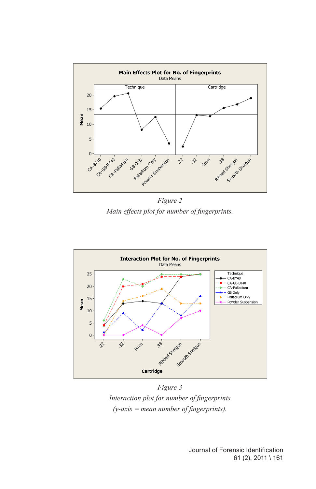

*Figure 2 Main effects plot for number of fingerprints.*



*Figure 3 Interaction plot for number of fingerprints (y-axis = mean number of fingerprints).*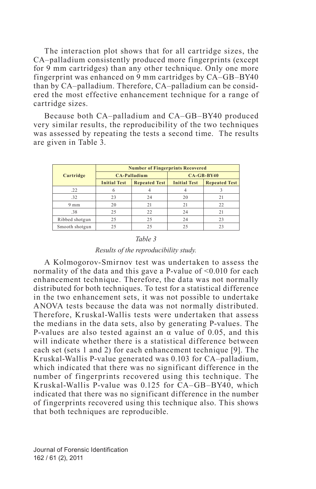The interaction plot shows that for all cartridge sizes, the CA–palladium consistently produced more fingerprints (except for 9 mm cartridges) than any other technique. Only one more fingerprint was enhanced on 9 mm cartridges by CA–GB–BY40 than by CA–palladium. Therefore, CA–palladium can be considered the most effective enhancement technique for a range of cartridge sizes.

Because both CA–palladium and CA–GB–BY40 produced very similar results, the reproducibility of the two techniques was assessed by repeating the tests a second time. The results are given in Table 3.

|                | <b>Number of Fingerprints Recovered</b> |                      |                     |                      |  |  |  |
|----------------|-----------------------------------------|----------------------|---------------------|----------------------|--|--|--|
| Cartridge      |                                         | <b>CA-Palladium</b>  | $CA-GB-BY40$        |                      |  |  |  |
|                | <b>Initial Test</b>                     | <b>Repeated Test</b> | <b>Initial Test</b> | <b>Repeated Test</b> |  |  |  |
| .22            | 6                                       |                      |                     |                      |  |  |  |
| .32            | 23                                      | 24                   | 20                  | 21                   |  |  |  |
| $9 \text{ mm}$ | 20                                      | 21                   | 21                  | 22                   |  |  |  |
| .38            | 25                                      | 22                   | 24                  | 21                   |  |  |  |
| Ribbed shotgun | 25                                      | 25                   | 24                  | 23                   |  |  |  |
| Smooth shotgun | 25                                      | 25                   | 25                  | 23                   |  |  |  |

#### *Table 3*

#### *Results of the reproducibility study.*

A Kolmogorov-Smirnov test was undertaken to assess the normality of the data and this gave a P-value of <0.010 for each enhancement technique. Therefore, the data was not normally distributed for both techniques. To test for a statistical difference in the two enhancement sets, it was not possible to undertake ANOVA tests because the data was not normally distributed. Therefore, Kruskal-Wallis tests were undertaken that assess the medians in the data sets, also by generating P-values. The P-values are also tested against an  $\alpha$  value of 0.05, and this will indicate whether there is a statistical difference between each set (sets 1 and 2) for each enhancement technique [9]. The Kruskal-Wallis P-value generated was 0.103 for CA–palladium, which indicated that there was no significant difference in the number of fingerprints recovered using this technique. The Kruskal-Wallis P-value was 0.125 for CA–GB–BY40, which indicated that there was no significant difference in the number of fingerprints recovered using this technique also. This shows that both techniques are reproducible.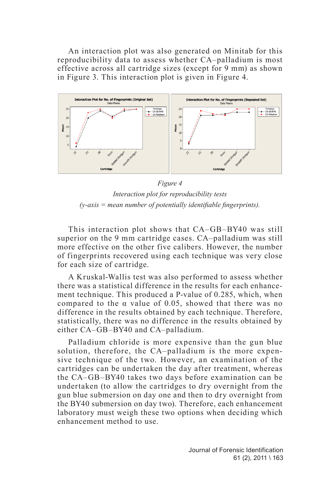An interaction plot was also generated on Minitab for this reproducibility data to assess whether CA–palladium is most effective across all cartridge sizes (except for 9 mm) as shown in Figure 3. This interaction plot is given in Figure 4.



*Figure 4 Interaction plot for reproducibility tests (y-axis = mean number of potentially identifiable fingerprints).*

This interaction plot shows that CA–GB–BY40 was still superior on the 9 mm cartridge cases. CA–palladium was still more effective on the other five calibers. However, the number of fingerprints recovered using each technique was very close for each size of cartridge.

A Kruskal-Wallis test was also performed to assess whether there was a statistical difference in the results for each enhancement technique. This produced a P-value of 0.285, which, when compared to the α value of 0.05, showed that there was no difference in the results obtained by each technique. Therefore, statistically, there was no difference in the results obtained by either CA–GB–BY40 and CA–palladium.

Palladium chloride is more expensive than the gun blue solution, therefore, the CA–palladium is the more expensive technique of the two. However, an examination of the cartridges can be undertaken the day after treatment, whereas the CA–GB–BY40 takes two days before examination can be undertaken (to allow the cartridges to dry overnight from the gun blue submersion on day one and then to dry overnight from the BY40 submersion on day two). Therefore, each enhancement laboratory must weigh these two options when deciding which enhancement method to use.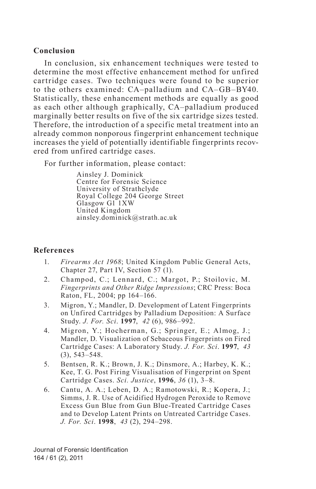# **Conclusion**

In conclusion, six enhancement techniques were tested to determine the most effective enhancement method for unfired cartridge cases. Two techniques were found to be superior to the others examined: CA–palladium and CA–GB–BY40. Statistically, these enhancement methods are equally as good as each other although graphically, CA–palladium produced marginally better results on five of the six cartridge sizes tested. Therefore, the introduction of a specific metal treatment into an already common nonporous fingerprint enhancement technique increases the yield of potentially identifiable fingerprints recovered from unfired cartridge cases.

For further information, please contact:

Ainsley J. Dominick Centre for Forensic Science University of Strathclyde Royal College 204 George Street Glasgow G1<sup>1</sup>XW United Kingdom ainsley.dominick@strath.ac.uk

# **References**

- 1. *Firearms Act 1968*; United Kingdom Public General Acts, Chapter 27, Part IV, Section 57 (1).
- 2. Champod, C.; Lennard, C.; Margot, P.; Stoilovic, M. *Fingerprints and Other Ridge Impressions*; CRC Press: Boca Raton, FL, 2004; pp 164–166.
- 3. Migron, Y.; Mandler, D. Development of Latent Fingerprints on Unfired Cartridges by Palladium Deposition: A Surface Study. *J. For. Sci*. **1997**, *42* (6), 986–992.
- 4. Migron, Y.; Hocherman, G.; Springer, E.; Almog, J.; Mandler, D. Visualization of Sebaceous Fingerprints on Fired Cartridge Cases: A Laboratory Study. *J. For. Sci*. **1997**, *43*  (3), 543–548.
- 5. Bentsen, R. K.; Brown, J. K.; Dinsmore, A.; Harbey, K. K.; Kee, T. G. Post Firing Visualisation of Fingerprint on Spent Cartridge Cases. *Sci. Justice*, **1996**, *36* (1), 3–8.
- 6. Cantu, A. A.; Leben, D. A.; Ramotowski, R.; Kopera, J.; Simms, J. R. Use of Acidified Hydrogen Peroxide to Remove Excess Gun Blue from Gun Blue-Treated Cartridge Cases and to Develop Latent Prints on Untreated Cartridge Cases. *J. For. Sci*. **1998**, *43* (2), 294–298.